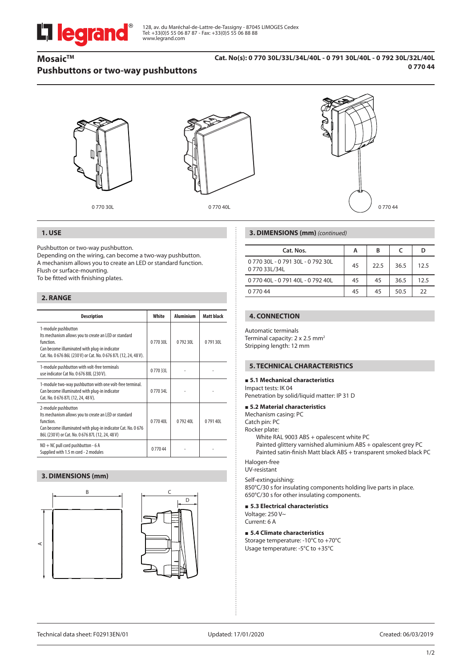# **Li legrand**

128, av. du Maréchal-de-Lattre-de-Tassigny - 87045 LIMOGES Cedex Tel: +33(0)5 55 06 87 87 - Fax: +33(0)5 55 06 88 88 www.legrand.com

# **Mosaic™ Pushbuttons or two-way pushbuttons**

#### **Cat. No(s): 0 770 30L/33L/34L/40L - 0 791 30L/40L - 0 792 30L/32L/40L 0 770 44**



0 770 30L 0 770 40L



### **1. USE**

Pushbutton or two-way pushbutton.

Depending on the wiring, can become a two-way pushbutton. A mechanism allows you to create an LED or standard function. Flush or surface-mounting.

To be fitted with finishing plates.

# **2. RANGE**

| <b>Description</b>                                                                                                                                                                                             | White   | <b>Aluminium</b> | <b>Matt black</b> |
|----------------------------------------------------------------------------------------------------------------------------------------------------------------------------------------------------------------|---------|------------------|-------------------|
| 1-module pushbutton<br>Its mechanism allows you to create an LED or standard<br>function.<br>Can become illuminated with plug-in indicator<br>Cat. No. 0 676 86L (230 V) or Cat. No. 0 676 87L (12, 24, 48 V). | 077030L | 079230L          | 079130L           |
| 1-module pushbutton with volt-free terminals<br>use indicator Cat No. 0 676 88L (230 V).                                                                                                                       | 077033L |                  |                   |
| 1-module two-way pushbutton with one volt-free terminal.<br>Can become illuminated with plug-in indicator<br>Cat. No. 0 676 87L (12, 24, 48 V).                                                                | 077034  |                  |                   |
| 2-module pushbutton<br>Its mechanism allows you to create an LED or standard<br>function<br>Can become illuminated with plug-in indicator Cat. No. 0 676<br>86L (230 V) or Cat. No. 0 676 87L (12, 24, 48 V)   | 077040L | 079240L          | 079140            |
| NO + NC pull cord pushbutton - 6 A<br>Supplied with 1.5 m cord - 2 modules                                                                                                                                     | 077044  |                  |                   |

## **3. DIMENSIONS (mm)**





#### **3. DIMENSIONS (mm)** *(continued)*

| Cat. Nos.                                        | А  | в    |      | D    |
|--------------------------------------------------|----|------|------|------|
| 0 770 30L - 0 791 30L - 0 792 30L<br>077033L/34L | 45 | 22.5 | 36.5 | 12.5 |
| 0 770 40L - 0 791 40L - 0 792 40L                | 45 | 45   | 36.5 | 12.5 |
| 0 770 44                                         | 45 | 45   | 50.5 | 22   |
|                                                  |    |      |      |      |

# **4. CONNECTION**

Automatic terminals Terminal capacity: 2 x 2.5 mm<sup>2</sup> Stripping length: 12 mm

#### **5. TECHNICAL CHARACTERISTICS**

#### **5.1 Mechanical characteristics**

Impact tests: IK 04 Penetration by solid/liquid matter: IP 31 D

#### **5.2 Material characteristics**

Mechanism casing: PC

Catch pin: PC

Rocker plate:

White RAL 9003 ABS + opalescent white PC

Painted glittery varnished aluminium ABS + opalescent grey PC Painted satin-finish Matt black ABS + transparent smoked black PC

Halogen-free UV-resistant

Self-extinguishing:

850°C/30 s for insulating components holding live parts in place. 650°C/30 s for other insulating components.

### **5.3 Electrical characteristics**

Voltage: 250 V~ Current: 6 A

#### **5.4 Climate characteristics**

Storage temperature: -10°C to +70°C Usage temperature: -5°C to +35°C